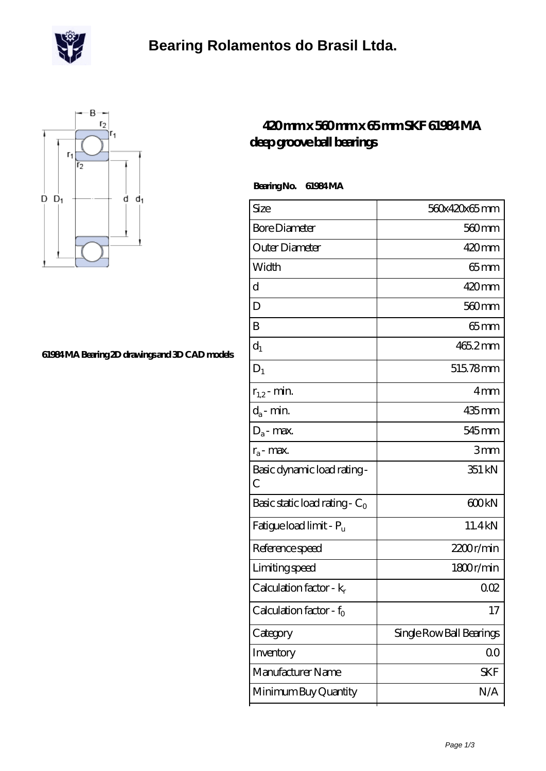

### **[Bearing Rolamentos do Brasil Ltda.](https://m.scottrobertalexander.com)**



#### **[61984 MA Bearing 2D drawings and 3D CAD models](https://m.scottrobertalexander.com/pic-539726.html)**

### **[420 mm x 560 mm x 65 mm SKF 61984 MA](https://m.scottrobertalexander.com/skf-61984-ma-bearing/) [deep groove ball bearings](https://m.scottrobertalexander.com/skf-61984-ma-bearing/)**

 **Bearing No. 61984 MA**

| Size                                       | 560x420x65mm             |
|--------------------------------------------|--------------------------|
| <b>Bore Diameter</b>                       | $560 \text{mm}$          |
| Outer Diameter                             | 420mm                    |
| Width                                      | 65mm                     |
| d                                          | $420$ mm                 |
| D                                          | 560 <sub>mm</sub>        |
| B                                          | $65$ mm                  |
| $d_1$                                      | 465.2mm                  |
| $D_1$                                      | 515.78mm                 |
| $r_{1,2}$ - min.                           | 4 <sub>mm</sub>          |
| $d_a$ - min.                               | 435mm                    |
| $D_a$ - max.                               | 545 mm                   |
| $r_a$ - max.                               | 3mm                      |
| Basic dynamic load rating-<br>$\mathcal C$ | 351 kN                   |
| Basic static load rating - $C_0$           | 600kN                    |
| Fatigue load limit - Pu                    | 11.4kN                   |
| Reference speed                            | 2200r/min                |
| Limiting speed                             | 1800r/min                |
| Calculation factor - $k_r$                 | 002                      |
| Calculation factor - f <sub>0</sub>        | 17                       |
| Category                                   | Single Row Ball Bearings |
| Inventory                                  | $00\,$                   |
| Manufacturer Name                          | <b>SKF</b>               |
| Minimum Buy Quantity                       | N/A                      |
|                                            |                          |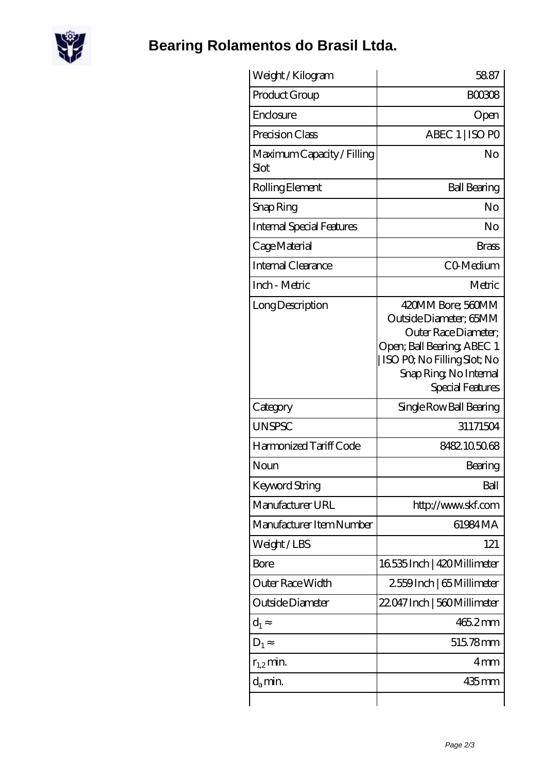

# **[Bearing Rolamentos do Brasil Ltda.](https://m.scottrobertalexander.com)**

| Weight / Kilogram                  | 58.87                                                                                                                                                                           |
|------------------------------------|---------------------------------------------------------------------------------------------------------------------------------------------------------------------------------|
| Product Group                      | <b>BOO308</b>                                                                                                                                                                   |
| Enclosure                          | Open                                                                                                                                                                            |
| Precision Class                    | ABEC 1   ISO PO                                                                                                                                                                 |
| Maximum Capacity / Filling<br>Slot | No                                                                                                                                                                              |
| Rolling Element                    | <b>Ball Bearing</b>                                                                                                                                                             |
| Snap Ring                          | No                                                                                                                                                                              |
| <b>Internal Special Features</b>   | No                                                                                                                                                                              |
| Cage Material                      | <b>Brass</b>                                                                                                                                                                    |
| Internal Clearance                 | CO <sub>Medium</sub>                                                                                                                                                            |
| Inch - Metric                      | Metric                                                                                                                                                                          |
| Long Description                   | 420MM Bore; 560MM<br>Outside Diameter; 65MM<br>Outer Race Diameter:<br>Open; Ball Bearing; ABEC 1<br>  ISO PQ No Filling Slot; No<br>Snap Ring, No Internal<br>Special Features |
| Category                           | Single Row Ball Bearing                                                                                                                                                         |
| <b>UNSPSC</b>                      | 31171504                                                                                                                                                                        |
| Harmonized Tariff Code             | 8482105068                                                                                                                                                                      |
| Noun                               | Bearing                                                                                                                                                                         |
| Keyword String                     | Ball                                                                                                                                                                            |
| Manufacturer URL                   | http://www.skf.com                                                                                                                                                              |
| Manufacturer Item Number           | 61984MA                                                                                                                                                                         |
| Weight/LBS                         | 121                                                                                                                                                                             |
| Bore                               | 16535 Inch   420 Millimeter                                                                                                                                                     |
| Outer Race Width                   | 2559Inch   65 Millimeter                                                                                                                                                        |
| Outside Diameter                   | 22.047 Inch   560 Millimeter                                                                                                                                                    |
| $d_1$                              | 465.2mm                                                                                                                                                                         |
| $D_1$                              | 515.78mm                                                                                                                                                                        |
| $r_{1,2}$ min.                     | 4 <sub>mm</sub>                                                                                                                                                                 |
| $d_{a}$ min.                       | $435$ mm                                                                                                                                                                        |
|                                    |                                                                                                                                                                                 |